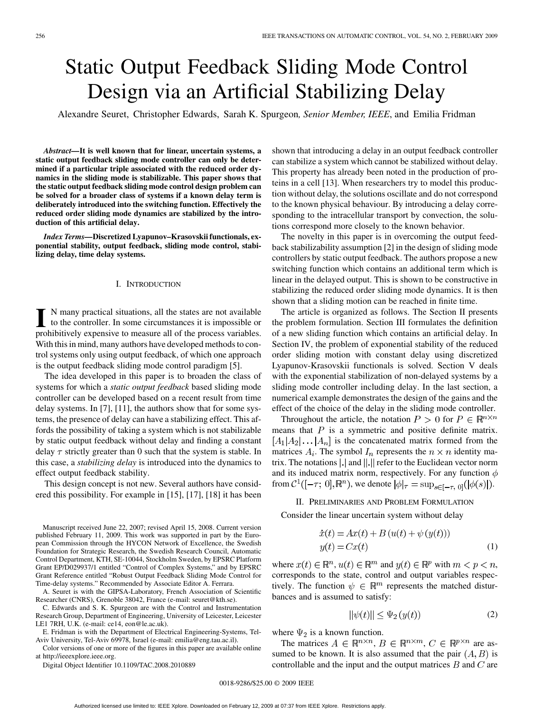# Static Output Feedback Sliding Mode Control Design via an Artificial Stabilizing Delay

Alexandre Seuret, Christopher Edwards, Sarah K. Spurgeon*, Senior Member, IEEE*, and Emilia Fridman

*Abstract—***It is well known that for linear, uncertain systems, a static output feedback sliding mode controller can only be determined if a particular triple associated with the reduced order dynamics in the sliding mode is stabilizable. This paper shows that the static output feedback sliding mode control design problem can be solved for a broader class of systems if a known delay term is deliberately introduced into the switching function. Effectively the reduced order sliding mode dynamics are stabilized by the introduction of this artificial delay.**

*Index Terms—***Discretized Lyapunov–Krasovskii functionals, exponential stability, output feedback, sliding mode control, stabilizing delay, time delay systems.**

#### I. INTRODUCTION

**I** N many practical situations, all the states are not available to the controller. In some circumstances it is impossible or prohibitively expensive to measure all of the process variables. With this in mind, many authors have developed methods to control systems only using output feedback, of which one approach is the output feedback sliding mode control paradigm [5].

The idea developed in this paper is to broaden the class of systems for which a *static output feedback* based sliding mode controller can be developed based on a recent result from time delay systems. In [7], [11], the authors show that for some systems, the presence of delay can have a stabilizing effect. This affords the possibility of taking a system which is not stabilizable by static output feedback without delay and finding a constant delay  $\tau$  strictly greater than 0 such that the system is stable. In this case, a *stabilizing delay* is introduced into the dynamics to effect output feedback stability.

This design concept is not new. Several authors have considered this possibility. For example in [15], [17], [18] it has been

Manuscript received June 22, 2007; revised April 15, 2008. Current version published February 11, 2009. This work was supported in part by the European Commission through the HYCON Network of Excellence, the Swedish Foundation for Strategic Research, the Swedish Research Council, Automatic Control Department, KTH, SE-10044, Stockholm Sweden, by EPSRC Platform Grant EP/D029937/1 entitled "Control of Complex Systems," and by EPSRC Grant Reference entitled "Robust Output Feedback Sliding Mode Control for Time-delay systems." Recommended by Associate Editor A. Ferrara.

A. Seuret is with the GIPSA-Laboratory, French Association of Scientific Researcher (CNRS), Grenoble 38042, France (e-mail: seuret@kth.se).

C. Edwards and S. K. Spurgeon are with the Control and Instrumentation Research Group, Department of Engineering, University of Leicester, Leicester LE1 7RH, U.K. (e-mail: ce14, eon@le.ac.uk).

E. Fridman is with the Department of Electrical Engineering-Systems, Tel-Aviv University, Tel-Aviv 69978, Israel (e-mail: emilia@eng.tau.ac.il).

Color versions of one or more of the figures in this paper are available online at http://ieeexplore.ieee.org.

Digital Object Identifier 10.1109/TAC.2008.2010889

shown that introducing a delay in an output feedback controller can stabilize a system which cannot be stabilized without delay. This property has already been noted in the production of proteins in a cell [13]. When researchers try to model this production without delay, the solutions oscillate and do not correspond to the known physical behaviour. By introducing a delay corresponding to the intracellular transport by convection, the solutions correspond more closely to the known behavior.

The novelty in this paper is in overcoming the output feedback stabilizability assumption [2] in the design of sliding mode controllers by static output feedback. The authors propose a new switching function which contains an additional term which is linear in the delayed output. This is shown to be constructive in stabilizing the reduced order sliding mode dynamics. It is then shown that a sliding motion can be reached in finite time.

The article is organized as follows. The Section II presents the problem formulation. Section III formulates the definition of a new sliding function which contains an artificial delay. In Section IV, the problem of exponential stability of the reduced order sliding motion with constant delay using discretized Lyapunov-Krasovskii functionals is solved. Section V deals with the exponential stabilization of non-delayed systems by a sliding mode controller including delay. In the last section, a numerical example demonstrates the design of the gains and the effect of the choice of the delay in the sliding mode controller.

Throughout the article, the notation  $P > 0$  for  $P \in \mathbb{R}^{n \times n}$ means that  $P$  is a symmetric and positive definite matrix.  $[A_1|A_2|\dots|A_n]$  is the concatenated matrix formed from the matrices  $A_i$ . The symbol  $I_n$  represents the  $n \times n$  identity matrix. The notations  $\vert \cdot \vert$  and  $\vert \vert \cdot \vert$  refer to the Euclidean vector norm and its induced matrix norm, respectively. For any function  $\phi$ from  $C^1([- \tau, 0], \mathbb{R}^n)$ , we denote  $|\phi|_{\tau} = \sup_{s \in [- \tau, 0]} (|\phi(s)|)$ .

## II. PRELIMINARIES AND PROBLEM FORMULATION

Consider the linear uncertain system without delay

$$
\begin{aligned} \dot{x}(t) &= Ax(t) + B\left(u(t) + \psi\left(y(t)\right)\right) \\ y(t) &= Cx(t) \end{aligned} \tag{1}
$$

where  $x(t) \in \mathbb{R}^n$ ,  $u(t) \in \mathbb{R}^m$  and  $y(t) \in \mathbb{R}^p$  with  $m < p < n$ , corresponds to the state, control and output variables respectively. The function  $\psi \in \mathbb{R}^m$  represents the matched disturbances and is assumed to satisfy:

$$
\|\psi(t)\| \le \Psi_2\left(y(t)\right) \tag{2}
$$

where  $\Psi_2$  is a known function.

The matrices  $A \in \mathbb{R}^{n \times n}$ ,  $B \in \mathbb{R}^{n \times m}$ ,  $C \in \mathbb{R}^{p \times n}$  are assumed to be known. It is also assumed that the pair  $(A, B)$  is controllable and the input and the output matrices  $B$  and  $C$  are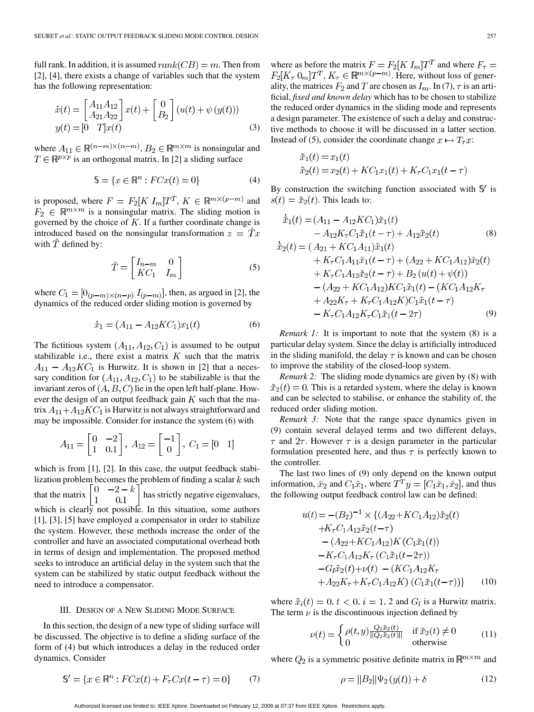full rank. In addition, it is assumed  $rank(CB) = m$ . Then from [2], [4], there exists a change of variables such that the system has the following representation:

$$
\dot{x}(t) = \begin{bmatrix} A_{11}A_{12} \\ A_{21}A_{22} \end{bmatrix} x(t) + \begin{bmatrix} 0 \\ B_2 \end{bmatrix} (u(t) + \psi (y(t)))
$$
  

$$
y(t) = \begin{bmatrix} 0 & T \end{bmatrix} x(t)
$$
 (3)

where  $A_{11} \in \mathbb{R}^{(n-m)\times(n-m)}$ ,  $B_2 \in \mathbb{R}^{m\times m}$  is nonsingular and  $T \in \mathbb{R}^{p \times p}$  is an orthogonal matrix. In [2] a sliding surface

$$
\mathbb{S} = \{x \in \mathbb{R}^n : FCx(t) = 0\}
$$
 (4)

is proposed, where  $F = F_2[K I_m]T^T$ ,  $K \in \mathbb{R}^{m \times (p-m)}$  and  $F_2 \in \mathbb{R}^{m \times m}$  is a nonsingular matrix. The sliding motion is governed by the choice of  $K$ . If a further coordinate change is introduced based on the nonsingular transformation  $z = \hat{T}x$ with  $\hat{T}$  defined by:

$$
\hat{T} = \begin{bmatrix} I_{n-m} & 0 \\ K C_1 & I_m \end{bmatrix}
$$
 (5)

where  $C_1 = [0_{(p-m)\times(n-p)} I_{(p-m)}]$ , then, as argued in [2], the dynamics of the reduced order sliding motion is governed by

$$
\dot{x}_1 = (A_{11} - A_{12}KC_1)x_1(t) \tag{6}
$$

The fictitious system  $(A_{11}, A_{12}, C_1)$  is assumed to be output stabilizable i.e., there exist a matrix  $K$  such that the matrix  $A_{11} - A_{12}KC_1$  is Hurwitz. It is shown in [2] that a necessary condition for  $(A_{11}, A_{12}, C_1)$  to be stabilizable is that the invariant zeros of  $(A, B, C)$  lie in the open left half-plane. However the design of an output feedback gain  $K$  such that the matrix  $A_{11} + A_{12} K C_1$  is Hurwitz is not always straightforward and may be impossible. Consider for instance the system (6) with

$$
A_{11} = \begin{bmatrix} 0 & -2 \\ 1 & 0.1 \end{bmatrix}, A_{12} = \begin{bmatrix} -1 \\ 0 \end{bmatrix}, C_1 = \begin{bmatrix} 0 & 1 \end{bmatrix}
$$

which is from [1], [2]. In this case, the output feedback stabilization problem becomes the problem of finding a scalar  $k$  such that the matrix  $\begin{bmatrix} 0 & -2-k \\ 1 & 0.1 \end{bmatrix}$  has strictly negative eigenvalues, which is clearly not possible. In this situation, some authors [1], [3], [5] have employed a compensator in order to stabilize the system. However, these methods increase the order of the controller and have an associated computational overhead both in terms of design and implementation. The proposed method seeks to introduce an artificial delay in the system such that the system can be stabilized by static output feedback without the need to introduce a compensator.

#### III. DESIGN OF A NEW SLIDING MODE SURFACE

In this section, the design of a new type of sliding surface will be discussed. The objective is to define a sliding surface of the form of (4) but which introduces a delay in the reduced order dynamics. Consider

> $\mathbb{S}' = \{x \in \mathbb{R}^n : FCx(t) + F_\tau Cx(t - \tau) = 0\}$ (7)

where as before the matrix  $F = F_2[K I_m]T^T$  and where  $F_\tau =$  $F_2[K_{\tau} \ 0_m]T^T$ ,  $K_{\tau} \in \mathbb{R}^{m \times (p-m)}$ . Here, without loss of generality, the matrices  $F_2$  and  $T$  are chosen as  $I_m$ . In (7),  $\tau$  is an artificial, *fixed and known delay* which has to be chosen to stabilize the reduced order dynamics in the sliding mode and represents a design parameter. The existence of such a delay and constructive methods to choose it will be discussed in a latter section. Instead of (5), consider the coordinate change  $x \mapsto T_\tau x$ :

$$
\tilde{x}_1(t) = x_1(t) \n\tilde{x}_2(t) = x_2(t) + KC_1 x_1(t) + K_\tau C_1 x_1(t - \tau)
$$

By construction the switching function associated with  $\mathcal{S}'$  is  $s(t) = \tilde{x}_2(t)$ . This leads to:

$$
\tilde{x}_1(t) = (A_{11} - A_{12}KC_1)\tilde{x}_1(t) \n- A_{12}K_{\tau}C_1\tilde{x}_1(t-\tau) + A_{12}\tilde{x}_2(t) \tag{8}
$$
\n
$$
\dot{\tilde{x}}_2(t) = (A_{21} + KC_1A_{11})\tilde{x}_1(t) \n+ K_{\tau}C_1A_{11}\tilde{x}_1(t-\tau) + (A_{22} + KC_1A_{12})\tilde{x}_2(t) \n+ K_{\tau}C_1A_{12}\tilde{x}_2(t-\tau) + B_2(u(t) + \psi(t)) \n- (A_{22} + KC_1A_{12})KC_1\tilde{x}_1(t) - (KC_1A_{12}K_{\tau} \n+ A_{22}K_{\tau} + K_{\tau}C_1A_{12}KC_1\tilde{x}_1(t-\tau) \n- K_{\tau}C_1A_{12}K_{\tau}C_1\tilde{x}_1(t-2\tau) \tag{9}
$$

*Remark 1:* It is important to note that the system (8) is a particular delay system. Since the delay is artificially introduced in the sliding manifold, the delay  $\tau$  is known and can be chosen to improve the stability of the closed-loop system.

*Remark 2:* The sliding mode dynamics are given by (8) with  $\tilde{x}_2(t) = 0$ . This is a retarded system, where the delay is known and can be selected to stabilise, or enhance the stability of, the reduced order sliding motion.

*Remark 3:* Note that the range space dynamics given in (9) contain several delayed terms and two different delays,  $\tau$  and  $2\tau$ . However  $\tau$  is a design parameter in the particular formulation presented here, and thus  $\tau$  is perfectly known to the controller.

The last two lines of (9) only depend on the known output information,  $\tilde{x}_2$  and  $C_1 \tilde{x}_1$ , where  $T^T y = [C_1 \tilde{x}_1, \tilde{x}_2]$ , and thus the following output feedback control law can be defined:

$$
u(t) = -(B_2)^{-1} \times \{(A_{22} + KC_1 A_{12})\tilde{x}_2(t) + K_7 C_1 A_{12} \tilde{x}_2(t-\tau) - (A_{22} + KC_1 A_{12})K (C_1 \tilde{x}_1(t)) - K_7 C_1 A_{12} K_7 (C_1 \tilde{x}_1(t-\tau)) - G_l \tilde{x}_2(t) + \nu(t) - (KC_1 A_{12} K_7 + A_{22} K_7 + K_7 C_1 A_{12} K) (C_1 \tilde{x}_1(t-\tau)) \}
$$
(10)

where  $\tilde{x}_i(t) = 0, t < 0, i = 1, 2$  and  $G_l$  is a Hurwitz matrix. The term  $\nu$  is the discontinuous injection defined by

$$
\nu(t) = \begin{cases} \rho(t,y) \frac{Q_2 \tilde{x}_2(t)}{\|Q_2 \tilde{x}_2(t)\|} & \text{if } \tilde{x}_2(t) \neq 0\\ 0 & \text{otherwise} \end{cases}
$$
(11)

where  $Q_2$  is a symmetric positive definite matrix in  $\mathbb{R}^{m \times m}$  and

$$
\rho = ||B_2|| \Psi_2(y(t)) + \delta \tag{12}
$$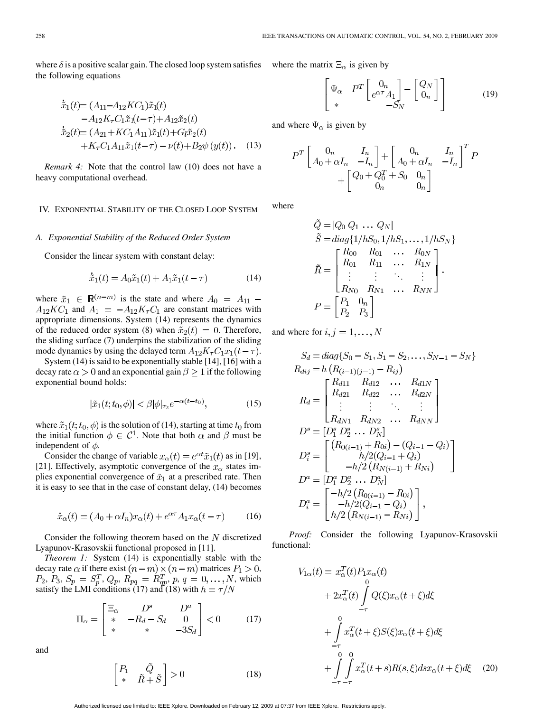where  $\delta$  is a positive scalar gain. The closed loop system satisfies the following equations

$$
\begin{aligned}\n\dot{\tilde{x}}_1(t) &= (A_{11} - A_{12}KC_1)\tilde{x}_1(t) \\
&- A_{12}K_\tau C_1\tilde{x}_1(t-\tau) + A_{12}\tilde{x}_2(t) \\
\dot{\tilde{x}}_2(t) &= (A_{21} + KC_1 A_{11})\tilde{x}_1(t) + G_l\tilde{x}_2(t) \\
&+ K_\tau C_1 A_{11}\tilde{x}_1(t-\tau) - \nu(t) + B_2\psi(y(t)).\n\end{aligned} \tag{13}
$$

*Remark 4:* Note that the control law (10) does not have a heavy computational overhead.

## IV. EXPONENTIAL STABILITY OF THE CLOSED LOOP SYSTEM

## *A. Exponential Stability of the Reduced Order System*

Consider the linear system with constant delay:

$$
\dot{\tilde{x}}_1(t) = A_0 \tilde{x}_1(t) + A_1 \tilde{x}_1(t - \tau) \tag{14}
$$

where  $\tilde{x}_1 \in \mathbb{R}^{(n-m)}$  is the state and where  $A_0 = A_{11}$  –  $A_{12}KC_1$  and  $A_1 = -A_{12}K_{\tau}C_1$  are constant matrices with appropriate dimensions. System (14) represents the dynamics of the reduced order system (8) when  $\tilde{x}_2(t) = 0$ . Therefore, the sliding surface (7) underpins the stabilization of the sliding mode dynamics by using the delayed term  $A_{12}K_{\tau}C_1x_1(t-\tau)$ .

System (14) is said to be exponentially stable [14], [16] with a decay rate  $\alpha > 0$  and an exponential gain  $\beta > 1$  if the following exponential bound holds:

$$
|\tilde{x}_1(t; t_0, \phi)| < \beta |\phi|_{\tau_2} e^{-\alpha(t - t_0)},\tag{15}
$$

where  $\tilde{x}_1(t; t_0, \phi)$  is the solution of (14), starting at time  $t_0$  from the initial function  $\phi \in C^1$ . Note that both  $\alpha$  and  $\beta$  must be independent of  $\phi$ .

Consider the change of variable  $x_{\alpha}(t) = e^{\alpha t} \tilde{x}_1(t)$  as in [19], [21]. Effectively, asymptotic convergence of the  $x_{\alpha}$  states implies exponential convergence of  $\tilde{x}_1$  at a prescribed rate. Then it is easy to see that in the case of constant delay, (14) becomes

$$
\dot{x}_{\alpha}(t) = (A_0 + \alpha I_n)x_{\alpha}(t) + e^{\alpha \tau} A_1 x_{\alpha}(t - \tau) \tag{16}
$$

Consider the following theorem based on the  $N$  discretized Lyapunov-Krasovskii functional proposed in [11].

*Theorem 1:* System (14) is exponentially stable with the decay rate  $\alpha$  if there exist  $(n-m) \times (n-m)$  matrices  $P_1 > 0$ , ,  $P_3, S_p = S_p^T, Q_p, R_{pq} = R_{qp}^T, p, q = 0, ..., N$ , which satisfy the LMI conditions  $(17)$  and  $(18)$  with

$$
\Pi_{\alpha} = \begin{bmatrix} \Xi_{\alpha} & D^{s} & D^{a} \\ * & -R_{d} - S_{d} & 0 \\ * & * & -3S_{d} \end{bmatrix} < 0 \quad (17)
$$

and

$$
\begin{bmatrix} P_1 & \tilde{Q} \\ * & \tilde{R} + \tilde{S} \end{bmatrix} > 0 \tag{18}
$$

where the matrix  $\Xi_{\alpha}$  is given by

$$
\begin{bmatrix}\n\Psi_{\alpha} & P^T \begin{bmatrix} 0_n \\ e^{\alpha \tau} A_1 \end{bmatrix} - \begin{bmatrix} Q_N \\ 0_n \end{bmatrix} \\
* & -S_N\n\end{bmatrix}
$$
\n(19)

and where  $\Psi_{\alpha}$  is given by

$$
P^{T}\left[\begin{array}{cc} 0_{n} & I_{n} \\ A_{0} + \alpha I_{n} & -I_{n} \end{array}\right] + \left[\begin{array}{cc} 0_{n} & I_{n} \\ A_{0} + \alpha I_{n} & -I_{n} \end{array}\right]^{T} P \\ + \left[\begin{array}{cc} Q_{0} + Q_{0}^{T} + S_{0} & 0_{n} \\ 0_{n} & 0_{n} \end{array}\right]
$$

where

$$
\tilde{Q} = [Q_0 \ Q_1 \ ... \ Q_N] \n\tilde{S} = diag\{1/hS_0, 1/hS_1, ..., 1/hS_N\} \n\tilde{R} = \begin{bmatrix}\nR_{00} & R_{01} & \dots & R_{0N} \\
R_{01} & R_{11} & \dots & R_{1N} \\
\vdots & \vdots & \ddots & \vdots \\
R_{N0} & R_{N1} & \dots & R_{NN}\n\end{bmatrix}.
$$
\n
$$
P = \begin{bmatrix}\nP_1 & 0_n \\
P_2 & P_3\n\end{bmatrix}
$$

and where for  $i, j = 1, \ldots, N$ 

$$
S_d = diag\{S_0 - S_1, S_1 - S_2, \dots, S_{N-1} - S_N\}
$$
  
\n
$$
R_{dij} = h\left(R_{(i-1)(j-1)} - R_{ij}\right)
$$
  
\n
$$
R_d = \begin{bmatrix} R_{d11} & R_{d12} & \dots & R_{d1N} \\ R_{d21} & R_{d22} & \dots & R_{d2N} \\ \vdots & \vdots & \ddots & \vdots \\ R_{dN1} & R_{dN2} & \dots & R_{dNN} \end{bmatrix}
$$
  
\n
$$
D^s = [D_1^s D_2^s \dots D_N^s]
$$
  
\n
$$
D_i^s = \begin{bmatrix} \left(R_{0(i-1)} + R_{0i}\right) - \left(Q_{i-1} - Q_i\right) \\ h/2\left(Q_{i-1} + Q_i\right) \\ -h/2\left(R_{N(i-1)} + R_{Ni}\right) \end{bmatrix}
$$
  
\n
$$
D^a = [D_1^a D_2^a \dots D_N^a]
$$
  
\n
$$
D_i^a = \begin{bmatrix} -h/2\left(R_{0(i-1)} - R_{0i}\right) \\ -h/2\left(Q_{i-1} - Q_i\right) \\ h/2\left(R_{N(i-1)} - R_{Ni}\right) \end{bmatrix},
$$

*Proof:* Consider the following Lyapunov-Krasovskii functional:

$$
V_{1\alpha}(t) = x_{\alpha}^{T}(t)P_{1}x_{\alpha}(t)
$$
  
+  $2x_{\alpha}^{T}(t)\int_{-\tau}^{0} Q(\xi)x_{\alpha}(t+\xi)d\xi$   
+  $\int_{-\tau}^{0} x_{\alpha}^{T}(t+\xi)S(\xi)x_{\alpha}(t+\xi)d\xi$   
+  $\int_{-\tau}^{0} \int_{-\tau}^{0} x_{\alpha}^{T}(t+s)R(s,\xi)dsx_{\alpha}(t+\xi)d\xi$  (20)

Authorized licensed use limited to: IEEE Xplore. Downloaded on February 12, 2009 at 07:37 from IEEE Xplore. Restrictions apply.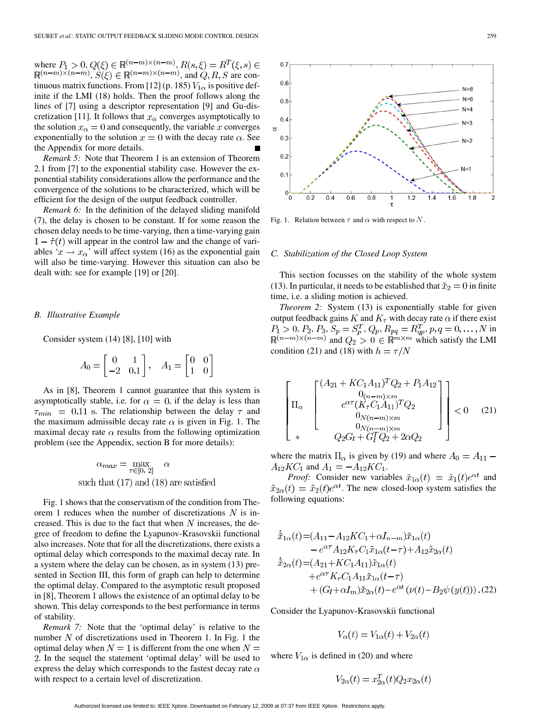where  $P_1 > 0, Q(\xi) \in \mathbb{R}^{(n-m)\times (n-m)},$ ,  $S(\xi) \in \mathbb{R}^{(n-m)\times (n-m)}$ , and  $Q, R, S$  are continuous matrix functions. From [12] (p. 185)  $V_{1\alpha}$  is positive definite if the LMI (18) holds. Then the proof follows along the lines of [7] using a descriptor representation [9] and Gu-discretization [11]. It follows that  $x_\alpha$  converges asymptotically to the solution  $x_{\alpha} = 0$  and consequently, the variable x converges exponentially to the solution  $x = 0$  with the decay rate  $\alpha$ . See the Appendix for more details.

*Remark 5:* Note that Theorem 1 is an extension of Theorem 2.1 from [7] to the exponential stability case. However the exponential stability considerations allow the performance and the convergence of the solutions to be characterized, which will be efficient for the design of the output feedback controller.

*Remark 6:* In the definition of the delayed sliding manifold (7), the delay is chosen to be constant. If for some reason the chosen delay needs to be time-varying, then a time-varying gain  $1 - \dot{\tau}(t)$  will appear in the control law and the change of variables ' $x \rightarrow x_{\alpha}$ ' will affect system (16) as the exponential gain will also be time-varying. However this situation can also be dealt with: see for example [19] or [20].

#### *B. Illustrative Example*

Consider system (14) [8], [10] with

$$
A_0 = \begin{bmatrix} 0 & 1 \\ -2 & 0.1 \end{bmatrix}, \quad A_1 = \begin{bmatrix} 0 & 0 \\ 1 & 0 \end{bmatrix}
$$

As in [8], Theorem 1 cannot guarantee that this system is asymptotically stable, i.e. for  $\alpha = 0$ , if the delay is less than  $\tau_{min}$  = 0.11 s. The relationship between the delay  $\tau$  and the maximum admissible decay rate  $\alpha$  is given in Fig. 1. The maximal decay rate  $\alpha$  results from the following optimization problem (see the Appendix, section B for more details):

$$
\alpha_{max} = \max_{\tau \in [0, 2]} \alpha
$$
  
such that (17) and (18) are satisfied

Fig. 1 shows that the conservatism of the condition from Theorem 1 reduces when the number of discretizations  $N$  is increased. This is due to the fact that when  $N$  increases, the degree of freedom to define the Lyapunov-Krasovskii functional also increases. Note that for all the discretizations, there exists a optimal delay which corresponds to the maximal decay rate. In a system where the delay can be chosen, as in system (13) presented in Section III, this form of graph can help to determine the optimal delay. Compared to the asymptotic result proposed in [8], Theorem 1 allows the existence of an optimal delay to be shown. This delay corresponds to the best performance in terms of stability.

*Remark 7:* Note that the 'optimal delay' is relative to the number  $N$  of discretizations used in Theorem 1. In Fig. 1 the optimal delay when  $N = 1$  is different from the one when  $N =$ . In the sequel the statement 'optimal delay' will be used to express the delay which corresponds to the fastest decay rate  $\alpha$ with respect to a certain level of discretization.



Fig. 1. Relation between  $\tau$  and  $\alpha$  with respect to N.

## *C. Stabilization of the Closed Loop System*

This section focusses on the stability of the whole system (13). In particular, it needs to be established that  $\tilde{x}_2 = 0$  in finite time, i.e. a sliding motion is achieved.

*Theorem 2:* System (13) is exponentially stable for given output feedback gains K and  $K_{\tau}$  with decay rate  $\alpha$  if there exist ,  $P_2, P_3, S_p = S_p^I$ ,  $Q_p, R_{pq} = R_{ap}^I, p, q = 0, \ldots, N$  in and  $Q_2 > 0 \in \mathbb{R}^{m \times m}$  which satisfy the LMI condition (21) and (18) with  $h = \tau/N$ 

$$
\begin{bmatrix}\n\Pi_{\alpha} & \begin{bmatrix}\n(A_{21} + KC_1 A_{11})^T Q_2 + P_1 A_{12} \\
0_{(n-m)\times m} \\
e^{\alpha \tau} (K_\tau C_1 A_{11})^T Q_2 \\
0_{N(n-m)\times m} \\
0_{N(n-m)\times m} \\
0_{N(n-m)\times m}\n\end{bmatrix} < 0 \quad (21)
$$

where the matrix  $\Pi_{\alpha}$  is given by (19) and where  $A_0 = A_{11}$  –  $A_{12}KC_1$  and  $A_1 = -A_{12}KC_1$ .

*Proof:* Consider new variables  $\tilde{x}_{1\alpha}(t) = \tilde{x}_1(t)e^{\alpha t}$  and  $\tilde{x}_{2\alpha}(t) = \tilde{x}_2(t)e^{\alpha t}$ . The new closed-loop system satisfies the following equations:

$$
\begin{aligned}\n\dot{\tilde{x}}_{1\alpha}(t) &= (A_{11} - A_{12}KC_1 + \alpha I_{n-m})\tilde{x}_{1\alpha}(t) \\
&\quad - e^{\alpha \tau} A_{12} K_{\tau} C_1 \tilde{x}_{1\alpha}(t-\tau) + A_{12} \tilde{x}_{2\alpha}(t) \\
\dot{\tilde{x}}_{2\alpha}(t) &= (A_{21} + KC_1 A_{11}) \tilde{x}_{1\alpha}(t) \\
&\quad + e^{\alpha \tau} K_{\tau} C_1 A_{11} \tilde{x}_{1\alpha}(t-\tau) \\
&\quad + (G_l + \alpha I_m) \tilde{x}_{2\alpha}(t) - e^{\alpha t} \left( \nu(t) - B_2 \psi \left( y(t) \right) \right). \n\end{aligned}
$$

Consider the Lyapunov-Krasovskii functional

$$
V_{\alpha}(t) = V_{1\alpha}(t) + V_{2\alpha}(t)
$$

where  $V_{1\alpha}$  is defined in (20) and where

$$
V_{2\alpha}(t) = x_{2\alpha}^T(t)Q_2x_{2\alpha}(t)
$$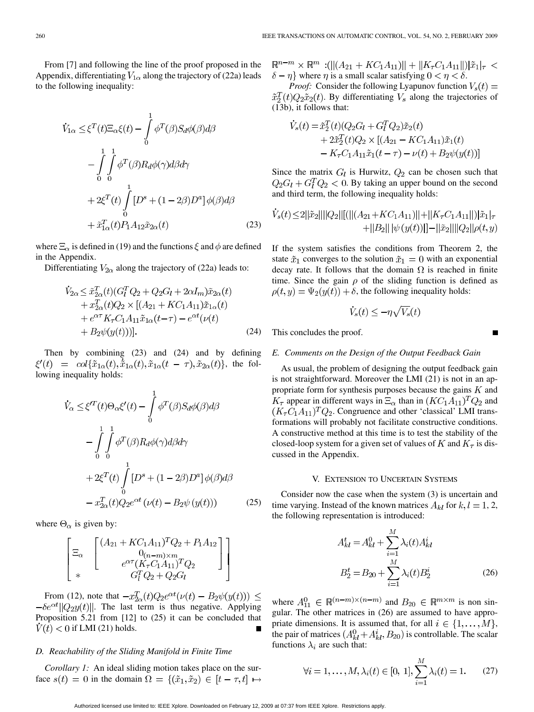From [7] and following the line of the proof proposed in the Appendix, differentiating  $V_{1\alpha}$  along the trajectory of (22a) leads to the following inequality:

$$
\dot{V}_{1\alpha} \leq \xi^{T}(t)\Xi_{\alpha}\xi(t) - \int_{0}^{1} \phi^{T}(\beta)S_{d}\phi(\beta)d\beta
$$
\n
$$
- \int_{0}^{1} \int_{0}^{1} \phi^{T}(\beta)R_{d}\phi(\gamma)d\beta d\gamma
$$
\n
$$
+ 2\xi^{T}(t)\int_{0}^{1} [D^{s} + (1 - 2\beta)D^{a}]\phi(\beta)d\beta
$$
\n
$$
+ \tilde{x}_{1\alpha}^{T}(t)P_{1}A_{12}\tilde{x}_{2\alpha}(t) \qquad (23)
$$

where  $\Xi_{\alpha}$  is defined in (19) and the functions  $\xi$  and  $\phi$  are defined in the Appendix.

Differentiating  $V_{2\alpha}$  along the trajectory of (22a) leads to:

$$
\dot{V}_{2\alpha} \leq \tilde{x}_{2\alpha}^{T}(t)(G_{l}^{T}Q_{2} + Q_{2}G_{l} + 2\alpha I_{m})\tilde{x}_{2\alpha}(t) \n+ x_{2\alpha}^{T}(t)Q_{2} \times [(A_{21} + KC_{1}A_{11})\tilde{x}_{1\alpha}(t) \n+ e^{\alpha \tau} K_{\tau} C_{1} A_{11}\tilde{x}_{1\alpha}(t-\tau) - e^{\alpha t}(\nu(t) \n+ B_{2}\psi(y(t)))].
$$
\n(24)

Then by combining (23) and (24) and by defining  $\xi'(t) = col\{\tilde{x}_{1\alpha}(t), \tilde{x}_{1\alpha}(t), \tilde{x}_{1\alpha}(t-\tau), \tilde{x}_{2\alpha}(t)\},$  the following inequality holds:

$$
\dot{V}_{\alpha} \leq \xi^{\prime T}(t)\Theta_{\alpha}\xi^{\prime}(t) - \int_{0}^{1} \phi^{T}(\beta)S_{d}\phi(\beta)d\beta
$$
\n
$$
-\int_{0}^{1} \int_{0}^{1} \phi^{T}(\beta)R_{d}\phi(\gamma)d\beta d\gamma
$$
\n
$$
+ 2\xi^{T}(t)\int_{0}^{1} [D^{s} + (1 - 2\beta)D^{a}]\phi(\beta)d\beta
$$
\n
$$
- x_{2\alpha}^{T}(t)Q_{2}e^{\alpha t}(\nu(t) - B_{2}\psi(y(t))) \qquad (25)
$$

where  $\Theta_{\alpha}$  is given by:

$$
\begin{bmatrix}\n\Xi_{\alpha} & \begin{bmatrix}\n(A_{21} + KC_1 A_{11})^T Q_2 + P_1 A_{12} \\
0_{(n-m)\times m} \\
e^{\alpha \tau} (K_\tau C_1 A_{11})^T Q_2\n\end{bmatrix} \\
* & G_l^T Q_2 + Q_2 G_l\n\end{bmatrix}
$$

From (12), note that  $-x_{2\alpha}^T(t)Q_2e^{\alpha t}(\nu(t)-B_2\psi(y(t))) \leq$  $-\delta e^{\alpha t} ||Q_2 y(t)||$ . The last term is thus negative. Applying Proposition 5.21 from [12] to (25) it can be concluded that  $V(t) < 0$  if LMI (21) holds.

## *D. Reachability of the Sliding Manifold in Finite Time*

*Corollary 1:* An ideal sliding motion takes place on the surface  $s(t) = 0$  in the domain  $\Omega = \{(\tilde{x}_1, \tilde{x}_2) \in [t - \tau, t] \mapsto$   $\mathbb{R}^{n-m} \times \mathbb{R}^m$ : (|| $(A_{21} + KC_1A_{11})$ || + || $K_{\tau}C_1A_{11}$ ||)| $\tilde{x}_1|_{\tau}$  <  $\{\delta - \eta\}$  where  $\eta$  is a small scalar satisfying  $0 < \eta < \delta$ .

*Proof:* Consider the following Lyapunov function  $V_s(t)$  =  $\tilde{x}_2^T(t)Q_2\tilde{x}_2(t)$ . By differentiating  $V_s$  along the trajectories of (13b), it follows that:

$$
\dot{V}_s(t) = \tilde{x}_2^T(t)(Q_2G_l + G_l^T Q_2)\tilde{x}_2(t) \n+ 2\tilde{x}_2^T(t)Q_2 \times [(A_{21} - KC_1 A_{11})\tilde{x}_1(t) \n- K_\tau C_1 A_{11}\tilde{x}_1(t-\tau) - \nu(t) + B_2\psi(y(t))]
$$

Since the matrix  $G_l$  is Hurwitz,  $Q_2$  can be chosen such that  $Q_2G_l + G_l^T Q_2 < 0$ . By taking an upper bound on the second and third term, the following inequality holds:

$$
\begin{aligned} \dot{V}_s(t) \!\leq\! 2||\tilde{x}_2|| ||Q_2|| [(||(A_{21}\!+\!KC_1A_{11})||\!+\!||K_\tau C_1A_{11}||)]\tilde{x}_1|_{\tau}\\ +&\!||B_2||\,|\psi\,(y(t))||\!-\!||\tilde{x}_2|| ||Q_2||\rho(t,y) \end{aligned}
$$

If the system satisfies the conditions from Theorem 2, the state  $\tilde{x}_1$  converges to the solution  $\tilde{x}_1 = 0$  with an exponential decay rate. It follows that the domain  $\Omega$  is reached in finite time. Since the gain  $\rho$  of the sliding function is defined as  $\rho(t, y) = \Psi_2(y(t)) + \delta$ , the following inequality holds:

$$
\dot{V}_s(t) \le -\eta \sqrt{V_s}(t)
$$

П

This concludes the proof.

#### *E. Comments on the Design of the Output Feedback Gain*

As usual, the problem of designing the output feedback gain is not straightforward. Moreover the LMI (21) is not in an appropriate form for synthesis purposes because the gains  $K$  and  $K_{\tau}$  appear in different ways in  $\Xi_{\alpha}$  than in  $(KC_1A_{11})^TQ_2$  and  $(K_{\tau}C_1A_{11})^TQ_2$ . Congruence and other 'classical' LMI transformations will probably not facilitate constructive conditions. A constructive method at this time is to test the stability of the closed-loop system for a given set of values of K and  $K_{\tau}$  is discussed in the Appendix.

#### V. EXTENSION TO UNCERTAIN SYSTEMS

Consider now the case when the system (3) is uncertain and time varying. Instead of the known matrices  $A_{kl}$  for  $k, l = 1, 2,$ the following representation is introduced:

$$
A_{kl}^{t} = A_{kl}^{0} + \sum_{i=1}^{M} \lambda_i(t) A_{kl}^{i}
$$

$$
B_2^{t} = B_{20} + \sum_{i=1}^{M} \lambda_i(t) B_2^{i}
$$
(26)

where  $A_{11}^0 \in \mathbb{R}^{(n-m)\times(n-m)}$  and  $B_{20} \in \mathbb{R}^{m\times m}$  is non singular. The other matrices in (26) are assumed to have appropriate dimensions. It is assumed that, for all  $i \in \{1, \ldots, M\}$ , the pair of matrices  $(A_{kl}^0 + A_{kl}^i, B_{20})$  is controllable. The scalar functions  $\lambda_i$  are such that:

$$
\forall i = 1, ..., M, \lambda_i(t) \in [0, 1], \sum_{i=1}^{M} \lambda_i(t) = 1.
$$
 (27)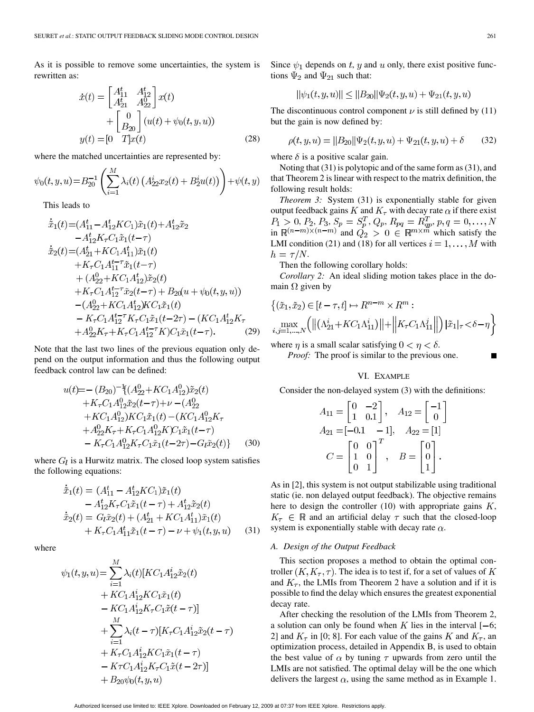As it is possible to remove some uncertainties, the system is rewritten as:

$$
\begin{aligned}\n\dot{x}(t) &= \begin{bmatrix} A_{11}^t & A_{12}^t \\ A_{21}^t & A_{22}^0 \end{bmatrix} x(t) \\
&+ \begin{bmatrix} 0 \\ B_{20} \end{bmatrix} (u(t) + \psi_0(t, y, u)) \\
y(t) &= [0 \quad T] x(t) \end{aligned}
$$
\n(28)

where the matched uncertainties are represented by:

$$
\psi_0(t, y, u) = B_{20}^{-1} \left( \sum_{i=1}^M \lambda_i(t) \left( A_{22}^i x_2(t) + B_2^i u(t) \right) \right) + \psi(t, y)
$$

This leads to

$$
\begin{split}\n\tilde{x}_1(t) &= (A_{11}^t - A_{12}^t K C_1) \tilde{x}_1(t) + A_{12}^t \tilde{x}_2 \\
&- A_{12}^t K_\tau C_1 \tilde{x}_1(t-\tau) \\
\dot{\tilde{x}}_2(t) &= (A_{21}^t + K C_1 A_{11}^t) \tilde{x}_1(t) \\
&+ K_\tau C_1 A_{11}^{t-\tau} \tilde{x}_1(t-\tau) \\
&+ (A_{22}^0 + K C_1 A_{12}^t) \tilde{x}_2(t) \\
&+ K_\tau C_1 A_{12}^{t-\tau} \tilde{x}_2(t-\tau) + B_{20}(u+\psi_0(t, y, u)) \\
&- (A_{22}^0 + K C_1 A_{12}^t) K C_1 \tilde{x}_1(t) \\
&- K_\tau C_1 A_{12}^{t-\tau} K_\tau C_1 \tilde{x}_1(t-2\tau) - (K C_1 A_{12}^t K_\tau + A_{22}^0 K_\tau + K_\tau C_1 A_{12}^{t-\tau} K) C_1 \tilde{x}_1(t-\tau).\n\end{split}
$$
\n(29)

Note that the last two lines of the previous equation only depend on the output information and thus the following output feedback control law can be defined:

$$
u(t) = -(B_{20})^{-1} \{ (A_{22}^{0} + KC_1 A_{12}^{0}) \tilde{x}_2(t) + K_{\tau} C_1 A_{12}^{0} \tilde{x}_2(t-\tau) + \nu - (A_{22}^{0} + KC_1 A_{12}^{0}) KC_1 \tilde{x}_1(t) - (KC_1 A_{12}^{0} K_{\tau} + A_{22}^{0} K_{\tau} + K_{\tau} C_1 A_{12}^{0} K) C_1 \tilde{x}_1(t-\tau) - K_{\tau} C_1 A_{12}^{0} K_{\tau} C_1 \tilde{x}_1(t-2\tau) - G_l \tilde{x}_2(t) \}
$$
(30)

where  $G_l$  is a Hurwitz matrix. The closed loop system satisfies the following equations:

$$
\begin{aligned}\n\dot{\tilde{x}}_1(t) &= (A_{11}^t - A_{12}^t K C_1) \tilde{x}_1(t) \\
&- A_{12}^t K_\tau C_1 \tilde{x}_1(t-\tau) + A_{12}^t \tilde{x}_2(t) \\
\dot{\tilde{x}}_2(t) &= G_l \tilde{x}_2(t) + (A_{21}^t + K C_1 A_{11}^t) \tilde{x}_1(t) \\
&+ K_\tau C_1 A_{11}^t \tilde{x}_1(t-\tau) - \nu + \psi_1(t, y, u)\n\end{aligned} \tag{31}
$$

where

$$
\psi_1(t, y, u) = \sum_{i=1}^{M} \lambda_i(t) [KC_1 A_{12}^i \tilde{x}_2(t) \n+ KC_1 A_{12}^i KC_1 \tilde{x}_1(t) \n- KC_1 A_{12}^i K_{\tau} C_1 \tilde{x}(t-\tau)] \n+ \sum_{i=1}^{M} \lambda_i(t-\tau) [K_{\tau} C_1 A_{12}^i \tilde{x}_2(t-\tau) \n+ K_{\tau} C_1 A_{12}^i KC_1 \tilde{x}_1(t-\tau) \n- KC_1 A_{12}^i K_{\tau} C_1 \tilde{x}(t-2\tau)] \n+ B_{20} \psi_0(t, y, u)
$$

Since  $\psi_1$  depends on t, y and u only, there exist positive functions  $\Psi_2$  and  $\Psi_{21}$  such that:

$$
||\psi_1(t, y, u)|| \le ||B_{20}|| \Psi_2(t, y, u) + \Psi_{21}(t, y, u)
$$

The discontinuous control component  $\nu$  is still defined by (11) but the gain is now defined by:

$$
\rho(t, y, u) = ||B_{20}|| \Psi_2(t, y, u) + \Psi_{21}(t, y, u) + \delta \qquad (32)
$$

where  $\delta$  is a positive scalar gain.

Noting that (31) is polytopic and of the same form as (31), and that Theorem 2 is linear with respect to the matrix definition, the following result holds:

*Theorem 3:* System (31) is exponentially stable for given output feedback gains K and  $K_{\tau}$  with decay rate  $\alpha$  if there exist ,  $P_2, P_3, S_p = S_p^I, Q_p, R_{pq} = R_{ap}^I,$ in  $\mathbb{R}^{(n-m)\times(n-m)}$  and  $Q_2 > 0 \in \mathbb{R}^{m\times m}$  which satisfy the LMI condition (21) and (18) for all vertices  $i = 1, \ldots, M$  with  $h = \tau/N$ .

Then the following corollary holds:

*Corollary 2:* An ideal sliding motion takes place in the domain  $\Omega$  given by

$$
\left\{ (\tilde{x}_1, \tilde{x}_2) \in [t - \tau, t] \mapsto R^{n-m} \times R^m : \atop {\max_{i,j=1,\ldots,N}} \left( \left\| \left( \Lambda_{21}^i + KC_1 \Lambda_{11}^i \right) \right\| + \left\| K_\tau C_1 \Lambda_{11}^j \right\| \right) |\tilde{x}_1|_\tau < \delta - \eta \right\}
$$

where  $\eta$  is a small scalar satisfying  $0 < \eta < \delta$ .

*Proof:* The proof is similar to the previous one.

#### VI. EXAMPLE

Consider the non-delayed system (3) with the definitions:

$$
A_{11} = \begin{bmatrix} 0 & -2 \\ 1 & 0.1 \end{bmatrix}, \quad A_{12} = \begin{bmatrix} -1 \\ 0 \end{bmatrix}
$$
  
\n
$$
A_{21} = [-0.1 \quad -1], \quad A_{22} = [1]
$$
  
\n
$$
C = \begin{bmatrix} 0 & 0 \\ 1 & 0 \\ 0 & 1 \end{bmatrix}^T, \quad B = \begin{bmatrix} 0 \\ 0 \\ 1 \end{bmatrix}.
$$

As in [2], this system is not output stabilizable using traditional static (ie. non delayed output feedback). The objective remains here to design the controller  $(10)$  with appropriate gains  $K$ ,  $K_{\tau} \in \mathbb{R}$  and an artificial delay  $\tau$  such that the closed-loop system is exponentially stable with decay rate  $\alpha$ .

#### *A. Design of the Output Feedback*

This section proposes a method to obtain the optimal controller  $(K, K_\tau, \tau)$ . The idea is to test if, for a set of values of K and  $K_{\tau}$ , the LMIs from Theorem 2 have a solution and if it is possible to find the delay which ensures the greatest exponential decay rate.

After checking the resolution of the LMIs from Theorem 2, a solution can only be found when K lies in the interval  $[-6;$ 2] and  $K_{\tau}$  in [0; 8]. For each value of the gains K and  $K_{\tau}$ , and optimization process, detailed in Appendix B, is used to obtain the best value of  $\alpha$  by tuning  $\tau$  upwards from zero until the LMIs are not satisfied. The optimal delay will be the one which delivers the largest  $\alpha$ , using the same method as in Example 1.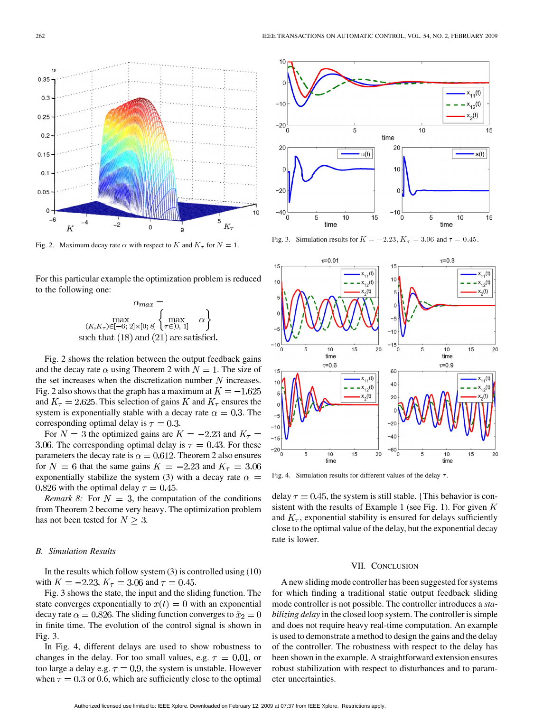

Fig. 2. Maximum decay rate  $\alpha$  with respect to  $K$  and  $K_{\tau}$  for  $N = 1$ .

For this particular example the optimization problem is reduced to the following one:



Fig. 2 shows the relation between the output feedback gains and the decay rate  $\alpha$  using Theorem 2 with  $N = 1$ . The size of the set increases when the discretization number  $N$  increases. Fig. 2 also shows that the graph has a maximum at  $K = -1.625$ and  $K_{\tau} = 2.625$ . This selection of gains K and  $K_{\tau}$  ensures the system is exponentially stable with a decay rate  $\alpha = 0.3$ . The corresponding optimal delay is  $\tau = 0.3$ .

For  $N = 3$  the optimized gains are  $K = -2.23$  and  $K<sub>\tau</sub> =$ 3.06. The corresponding optimal delay is  $\tau = 0.43$ . For these parameters the decay rate is  $\alpha = 0.612$ . Theorem 2 also ensures for  $N = 6$  that the same gains  $K = -2.23$  and  $K<sub>\tau</sub> = 3.06$ exponentially stabilize the system (3) with a decay rate  $\alpha =$ 0.826 with the optimal delay  $\tau = 0.45$ .

*Remark 8:* For  $N = 3$ , the computation of the conditions from Theorem 2 become very heavy. The optimization problem has not been tested for  $N \geq 3$ .

## *B. Simulation Results*

In the results which follow system  $(3)$  is controlled using  $(10)$ with  $K = -2.23$ ,  $K_{\tau} = 3.06$  and  $\tau = 0.45$ .

Fig. 3 shows the state, the input and the sliding function. The state converges exponentially to  $x(t) = 0$  with an exponential decay rate  $\alpha = 0.826$ . The sliding function converges to  $\tilde{x}_2 = 0$ in finite time. The evolution of the control signal is shown in Fig. 3.

In Fig. 4, different delays are used to show robustness to changes in the delay. For too small values, e.g.  $\tau = 0.01$ , or too large a delay e.g.  $\tau = 0.9$ , the system is unstable. However when  $\tau = 0.3$  or 0.6, which are sufficiently close to the optimal





Fig. 4. Simulation results for different values of the delay  $\tau$ .

delay  $\tau = 0.45$ , the system is still stable. {This behavior is consistent with the results of Example 1 (see Fig. 1). For given  $K$ and  $K_{\tau}$ , exponential stability is ensured for delays sufficiently close to the optimal value of the delay, but the exponential decay rate is lower.

#### VII. CONCLUSION

A new sliding mode controller has been suggested for systems for which finding a traditional static output feedback sliding mode controller is not possible. The controller introduces a *stabilizing delay* in the closed loop system. The controller is simple and does not require heavy real-time computation. An example is used to demonstrate a method to design the gains and the delay of the controller. The robustness with respect to the delay has been shown in the example. A straightforward extension ensures robust stabilization with respect to disturbances and to parameter uncertainties.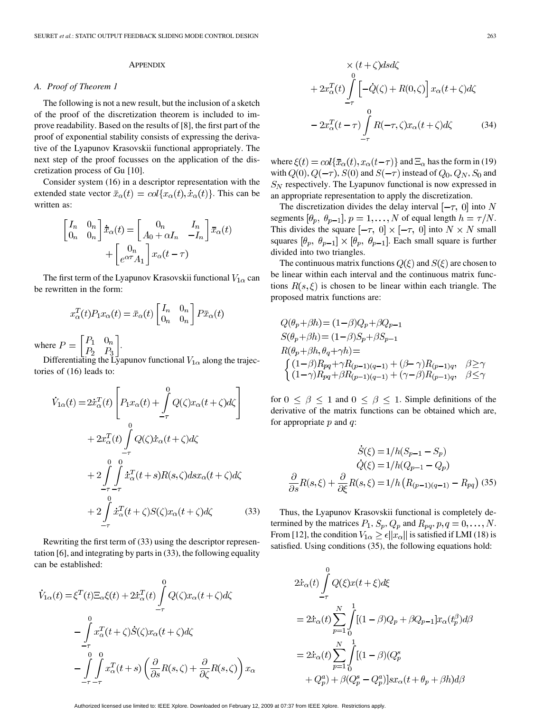## **APPENDIX**

#### *A. Proof of Theorem 1*

The following is not a new result, but the inclusion of a sketch of the proof of the discretization theorem is included to improve readability. Based on the results of [8], the first part of the proof of exponential stability consists of expressing the derivative of the Lyapunov Krasovskii functional appropriately. The next step of the proof focusses on the application of the discretization process of Gu [10].

Consider system (16) in a descriptor representation with the extended state vector  $\bar{x}_{\alpha}(t) = col\{x_{\alpha}(t), \dot{x}_{\alpha}(t)\}\.$  This can be written as:

$$
\begin{bmatrix} I_n & 0_n \ 0_n & 0_n \end{bmatrix} \dot{x}_{\alpha}(t) = \begin{bmatrix} 0_n & I_n \ A_0 + \alpha I_n & -I_n \end{bmatrix} \bar{x}_{\alpha}(t) + \begin{bmatrix} 0_n \ e^{\alpha \tau} A_1 \end{bmatrix} x_{\alpha}(t - \tau)
$$

The first term of the Lyapunov Krasovskii functional  $V_{1\alpha}$  can be rewritten in the form:

$$
x_{\alpha}^{T}(t)P_{1}x_{\alpha}(t) = \bar{x}_{\alpha}(t) \begin{bmatrix} I_{n} & 0_{n} \\ 0_{n} & 0_{n} \end{bmatrix} P\bar{x}_{\alpha}(t)
$$

where  $P = \begin{bmatrix} 1 & 1 & 0 \\ 0 & 0 & P \end{bmatrix}$ .

Differentiating the Lyapunov functional  $V_{1\alpha}$  along the trajectories of (16) leads to:

$$
\dot{V}_{1\alpha}(t) = 2\dot{x}_{\alpha}^{T}(t) \left[ P_{1}x_{\alpha}(t) + \int_{-\tau}^{0} Q(\zeta)x_{\alpha}(t+\zeta)d\zeta \right] \n+ 2x_{\alpha}^{T}(t) \int_{-\tau}^{0} Q(\zeta)\dot{x}_{\alpha}(t+\zeta)d\zeta \n+ 2\int_{-\tau}^{0} \int_{-\tau}^{0} \dot{x}_{\alpha}^{T}(t+s)R(s,\zeta)dsx_{\alpha}(t+\zeta)d\zeta \n+ 2\int_{-\tau}^{0} \dot{x}_{\alpha}^{T}(t+\zeta)S(\zeta)x_{\alpha}(t+\zeta)d\zeta
$$
\n(33)

Rewriting the first term of (33) using the descriptor representation [6], and integrating by parts in (33), the following equality can be established:

$$
\dot{V}_{1\alpha}(t) = \xi^{T}(t)\Xi_{\alpha}\xi(t) + 2\dot{x}_{\alpha}^{T}(t)\int_{-\tau}^{0}Q(\zeta)x_{\alpha}(t+\zeta)d\zeta
$$

$$
-\int_{-\tau}^{0}x_{\alpha}^{T}(t+\zeta)\dot{S}(\zeta)x_{\alpha}(t+\zeta)d\zeta
$$

$$
-\int_{-\tau}^{0}\int_{-\tau-\tau}^{0}x_{\alpha}^{T}(t+s)\left(\frac{\partial}{\partial s}R(s,\zeta) + \frac{\partial}{\partial\zeta}R(s,\zeta)\right)x_{\alpha}
$$

$$
\times (t+\zeta)dsd\zeta
$$
  
+  $2x_{\alpha}^{T}(t)\int_{-\tau}^{0} \left[-\dot{Q}(\zeta)+R(0,\zeta)\right]x_{\alpha}(t+\zeta)d\zeta$   
-  $2x_{\alpha}^{T}(t-\tau)\int_{-\tau}^{0} R(-\tau,\zeta)x_{\alpha}(t+\zeta)d\zeta$  (34)

where  $\xi(t) = col\{\bar{x}_{\alpha}(t), x_{\alpha}(t-\tau)\}\$  and  $\Xi_{\alpha}$  has the form in (19) with  $Q(0), Q(-\tau), S(0)$  and  $S(-\tau)$  instead of  $Q_0, Q_N, S_0$  and  $S_N$  respectively. The Lyapunov functional is now expressed in an appropriate representation to apply the discretization.

The discretization divides the delay interval  $[-\tau, 0]$  into N segments  $[\theta_p, \theta_{p-1}], p = 1, ..., N$  of equal length  $h = \tau/N$ . This divides the square  $[-\tau, 0] \times [-\tau, 0]$  into  $N \times N$  small squares  $[\theta_p, \theta_{p-1}] \times [\theta_p, \theta_{p-1}]$ . Each small square is further divided into two triangles.

The continuous matrix functions  $Q(\xi)$  and  $S(\xi)$  are chosen to be linear within each interval and the continuous matrix functions  $R(s,\xi)$  is chosen to be linear within each triangle. The proposed matrix functions are:

$$
Q(\theta_p + \beta h) = (1 - \beta)Q_p + \beta Q_{p-1}
$$
  
\n
$$
S(\theta_p + \beta h) = (1 - \beta)S_p + \beta S_{p-1}
$$
  
\n
$$
R(\theta_p + \beta h, \theta_q + \gamma h) =
$$
  
\n
$$
\begin{cases} (1 - \beta)R_{pq} + \gamma R_{(p-1)(q-1)} + (\beta - \gamma)R_{(p-1)q}, & \beta \ge \gamma \\ (1 - \gamma)R_{pq} + \beta R_{(p-1)(q-1)} + (\gamma - \beta)R_{(p-1)q}, & \beta \le \gamma \end{cases}
$$

for  $0 \le \beta \le 1$  and  $0 \le \beta \le 1$ . Simple definitions of the derivative of the matrix functions can be obtained which are, for appropriate  $p$  and  $q$ :

$$
\dot{S}(\xi) = 1/h(S_{p-1} - S_p)
$$

$$
\dot{Q}(\xi) = 1/h(Q_{p-1} - Q_p)
$$

$$
\frac{\partial}{\partial s}R(s,\xi) + \frac{\partial}{\partial \xi}R(s,\xi) = 1/h\left(R_{(p-1)(q-1)} - R_{pq}\right)
$$
(35)

Thus, the Lyapunov Krasovskii functional is completely determined by the matrices  $P_1$ ,  $S_p$ ,  $Q_p$  and  $R_{pq}$ ,  $p$ ,  $q = 0, \ldots, N$ . From [12], the condition  $V_{1\alpha} \geq \epsilon ||x_{\alpha}||$  is satisfied if LMI (18) is satisfied. Using conditions (35), the following equations hold:

$$
2\dot{x}_{\alpha}(t)\int_{-\tau}^{0}Q(\xi)x(t+\xi)d\xi
$$
  
=  $2\dot{x}_{\alpha}(t)\sum_{p=1}^{N}\int_{0}^{1}[(1-\beta)Q_{p} + \beta Q_{p-1}]x_{\alpha}(t_{p}^{\beta})d\beta$   
=  $2\dot{x}_{\alpha}(t)\sum_{p=1}^{N}\int_{0}^{1}[(1-\beta)(Q_{p}^{s} + Q_{p}^{a})+ \beta(Q_{p}^{s} - Q_{p}^{a})]sx_{\alpha}(t+\theta_{p} + \beta h)d\beta$ 

Authorized licensed use limited to: IEEE Xplore. Downloaded on February 12, 2009 at 07:37 from IEEE Xplore. Restrictions apply.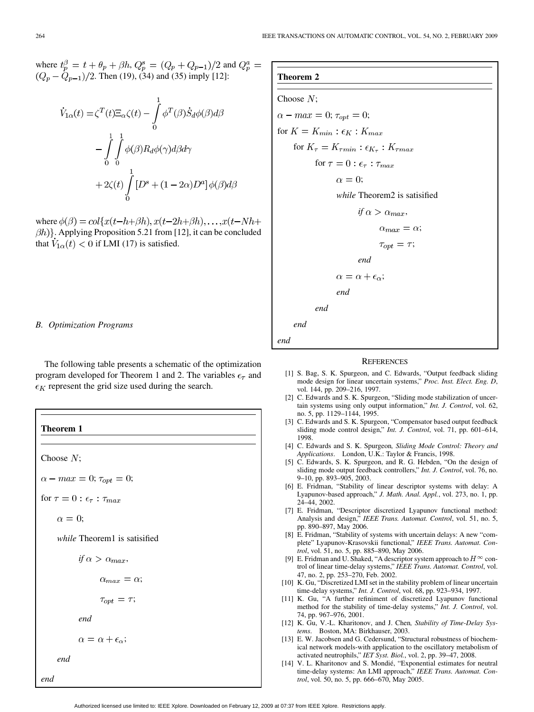where  $t_n^{\beta} = t + \theta_p + \beta h$ ,  $Q_n^s = (Q_p + Q_{p-1})/2$  and . Then (19), (34) and (35) imply [12]:

$$
\dot{V}_{1\alpha}(t) = \zeta^{T}(t)\Xi_{\alpha}\zeta(t) - \int_{0}^{1} \phi^{T}(\beta)\dot{S}_{d}\phi(\beta)d\beta
$$

$$
-\int_{0}^{1} \int_{0}^{1} \phi(\beta)R_{d}\phi(\gamma)d\beta d\gamma
$$

$$
+ 2\zeta(t)\int_{0}^{1} [D^{s} + (1 - 2\alpha)D^{a}]\phi(\beta)d\beta
$$

where  $\phi(\beta) = col\{x(t-h+\beta h), x(t-2h+\beta h), \ldots, x(t-Nh+\beta h)\}$  $\{\beta h\}$ . Applying Proposition 5.21 from [12], it can be concluded that  $V_{1\alpha}(t) < 0$  if LMI (17) is satisfied.

## *B. Optimization Programs*

The following table presents a schematic of the optimization program developed for Theorem 1 and 2. The variables  $\epsilon_{\tau}$  and  $\epsilon_K$  represent the grid size used during the search.

**Theorem 1** Choose  $N$ ;  $\alpha - max = 0; \tau_{opt} = 0;$ for  $\tau=0$  :  $\epsilon_{\tau}$  :  $\tau_{max}$  $\alpha = 0;$ *while* Theorem1 is satisified *if*  $\alpha > \alpha_{max}$ ,  $\alpha_{max} = \alpha;$  $\tau_{opt} = \tau;$ *end*  $\alpha = \alpha + \epsilon_{\alpha};$ *end end*

## **Theorem 2**

Choose N;  
\n
$$
\alpha - max = 0; \tau_{opt} = 0;
$$
\nfor  $K = K_{min} : \epsilon_K : K_{max}$   
\nfor  $K_{\tau} = K_{\tau min} : \epsilon_{K_{\tau}} : K_{\tau max}$   
\nfor  $\tau = 0 : \epsilon_{\tau} : \tau_{max}$   
\n $\alpha = 0;$   
\nwhile Theorem2 is satisfied  
\nif  $\alpha > \alpha_{max}$ ,  
\n $\alpha_{max} = \alpha;$   
\n $\tau_{opt} = \tau;$   
\n*end*  
\n $\alpha = \alpha + \epsilon_{\alpha};$   
\n*end*  
\n*end*

*end*

#### **REFERENCES**

- [1] S. Bag, S. K. Spurgeon, and C. Edwards, "Output feedback sliding mode design for linear uncertain systems," *Proc. Inst. Elect. Eng. D*, vol. 144, pp. 209–216, 1997.
- [2] C. Edwards and S. K. Spurgeon, "Sliding mode stabilization of uncertain systems using only output information," *Int. J. Control*, vol. 62, no. 5, pp. 1129–1144, 1995.
- [3] C. Edwards and S. K. Spurgeon, "Compensator based output feedback sliding mode control design," *Int. J. Control*, vol. 71, pp. 601–614, 1998.
- [4] C. Edwards and S. K. Spurgeon*, Sliding Mode Control: Theory and Applications*. London, U.K.: Taylor & Francis, 1998.
- [5] C. Edwards, S. K. Spurgeon, and R. G. Hebden, "On the design of sliding mode output feedback controllers," *Int. J. Control*, vol. 76, no. 9–10, pp. 893–905, 2003.
- [6] E. Fridman, "Stability of linear descriptor systems with delay: A Lyapunov-based approach," *J. Math. Anal. Appl.*, vol. 273, no. 1, pp. 24–44, 2002.
- [7] E. Fridman, "Descriptor discretized Lyapunov functional method: Analysis and design," *IEEE Trans. Automat. Control*, vol. 51, no. 5, pp. 890–897, May 2006.
- [8] E. Fridman, "Stability of systems with uncertain delays: A new "complete" Lyapunov-Krasovskii functional," *IEEE Trans. Automat. Control*, vol. 51, no. 5, pp. 885–890, May 2006.
- [9] E. Fridman and U. Shaked, "A descriptor system approach to  $H^\infty$  control of linear time-delay systems," *IEEE Trans. Automat. Control*, vol. 47, no. 2, pp. 253–270, Feb. 2002.
- [10] K. Gu, "Discretized LMI set in the stability problem of linear uncertain time-delay systems," *Int. J. Control*, vol. 68, pp. 923–934, 1997.
- [11] K. Gu, "A further refiniment of discretized Lyapunov functional method for the stability of time-delay systems," *Int. J. Control*, vol. 74, pp. 967–976, 2001.
- [12] K. Gu, V.-L. Kharitonov, and J. Chen*, Stability of Time-Delay Systems*. Boston, MA: Birkhauser, 2003.
- [13] E. W. Jacobsen and G. Cedersund, "Structural robustness of biochemical network models-with application to the oscillatory metabolism of activated neutrophils," *IET Syst. Biol.*, vol. 2, pp. 39–47, 2008.
- [14] V. L. Kharitonov and S. Mondié, "Exponential estimates for neutral time-delay systems: An LMI approach," *IEEE Trans. Automat. Control*, vol. 50, no. 5, pp. 666–670, May 2005.